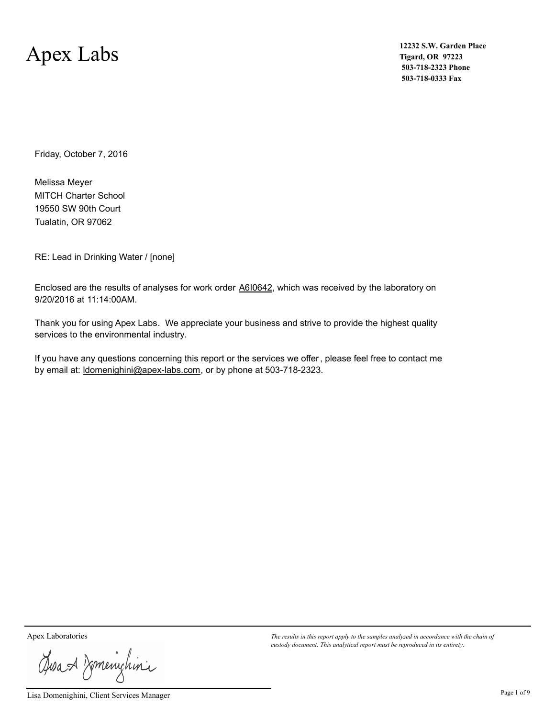### Apex Labs

**12232 S.W. Garden Place Tigard, OR 97223 503-718-2323 Phone 503-718-0333 Fax**

Friday, October 7, 2016

MITCH Charter School Tualatin, OR 97062 19550 SW 90th Court Melissa Meyer

RE: Lead in Drinking Water / [none]

Enclosed are the results of analyses for work order A610642, which was received by the laboratory on 9/20/2016 at 11:14:00AM.

Thank you for using Apex Labs. We appreciate your business and strive to provide the highest quality services to the environmental industry.

If you have any questions concerning this report or the services we offer, please feel free to contact me by email at: ldomenighini@apex-labs.com, or by phone at 503-718-2323.

Josan Zmenichini

Lisa Domenighini, Client Services Manager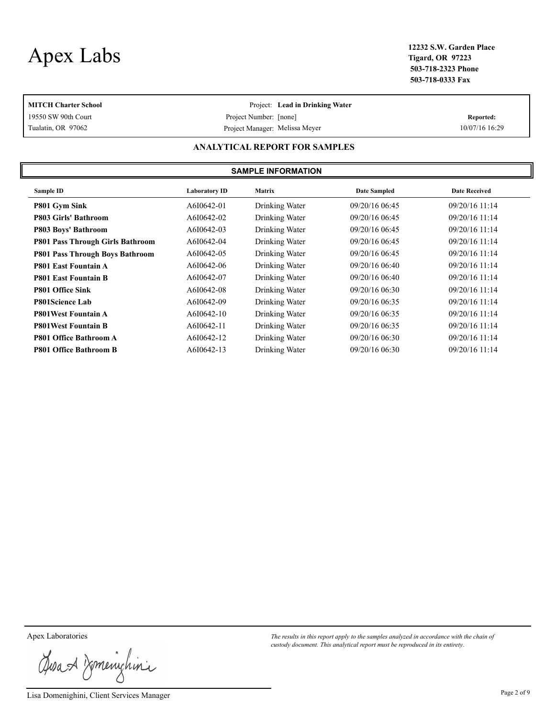# Apex Labs **12232 S.W. Garden Place**

**Tigard, OR 97223 503-718-2323 Phone 503-718-0333 Fax**

| <b>MITCH Charter School</b>   |                                | Project: Lead in Drinking Water |                |  |  |  |  |
|-------------------------------|--------------------------------|---------------------------------|----------------|--|--|--|--|
| 19550 SW 90th Court           | Project Number: [none]         |                                 | Reported:      |  |  |  |  |
| Tualatin, OR 97062            | Project Manager: Melissa Meyer |                                 | 10/07/16 16:29 |  |  |  |  |
| ANALYTICAL REPORT FOR SAMPLES |                                |                                 |                |  |  |  |  |
| <b>SAMPLE INFORMATION</b>     |                                |                                 |                |  |  |  |  |

| Sample ID                               | <b>Laboratory ID</b> | <b>Matrix</b>  | <b>Date Sampled</b> | <b>Date Received</b> |
|-----------------------------------------|----------------------|----------------|---------------------|----------------------|
| P801 Gym Sink                           | A6I0642-01           | Drinking Water | 09/20/16 06:45      | 09/20/16 11:14       |
| <b>P803 Girls' Bathroom</b>             | A6I0642-02           | Drinking Water | 09/20/16 06:45      | 09/20/16 11:14       |
| P803 Boys' Bathroom                     | A6I0642-03           | Drinking Water | 09/20/16 06:45      | 09/20/16 11:14       |
| <b>P801 Pass Through Girls Bathroom</b> | A6I0642-04           | Drinking Water | 09/20/16 06:45      | 09/20/16 11:14       |
| <b>P801 Pass Through Boys Bathroom</b>  | A6I0642-05           | Drinking Water | 09/20/16 06:45      | 09/20/16 11:14       |
| <b>P801 East Fountain A</b>             | A6I0642-06           | Drinking Water | 09/20/16 06:40      | $09/20/16$ 11:14     |
| <b>P801 East Fountain B</b>             | A6I0642-07           | Drinking Water | 09/20/16 06:40      | 09/20/16 11:14       |
| P801 Office Sink                        | A6I0642-08           | Drinking Water | 09/20/16 06:30      | $09/20/16$ 11:14     |
| <b>P801Science Lab</b>                  | A6I0642-09           | Drinking Water | 09/20/16 06:35      | $09/20/16$ 11:14     |
| <b>P801West Fountain A</b>              | A6I0642-10           | Drinking Water | 09/20/16 06:35      | $09/20/16$ 11:14     |
| <b>P801West Fountain B</b>              | A6I0642-11           | Drinking Water | 09/20/16 06:35      | 09/20/16 11:14       |
| <b>P801 Office Bathroom A</b>           | A6I0642-12           | Drinking Water | 09/20/16 06:30      | 09/20/16 11:14       |
| <b>P801 Office Bathroom B</b>           | A6I0642-13           | Drinking Water | 09/20/16 06:30      | 09/20/16 11:14       |

Josan Zmenighini

Lisa Domenighini, Client Services Manager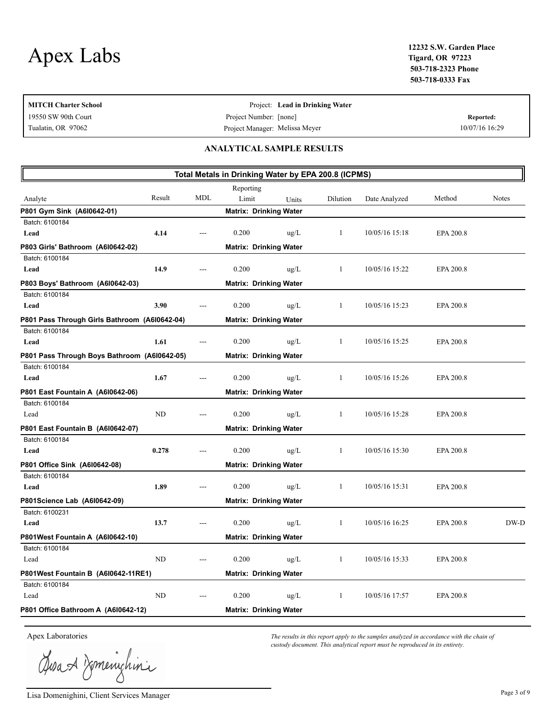| MITCH Charter School |                                | Project: Lead in Drinking Water |                |
|----------------------|--------------------------------|---------------------------------|----------------|
| 19550 SW 90th Court  | Project Number: [none]         |                                 | Reported:      |
| Tualatin, OR 97062   | Project Manager: Melissa Meyer |                                 | 10/07/16 16:29 |
|                      |                                |                                 |                |

#### **ANALYTICAL SAMPLE RESULTS**

| Total Metals in Drinking Water by EPA 200.8 (ICPMS) |        |            |                               |               |              |                |           |       |
|-----------------------------------------------------|--------|------------|-------------------------------|---------------|--------------|----------------|-----------|-------|
|                                                     |        |            | Reporting                     |               |              |                |           |       |
| Analyte                                             | Result | <b>MDL</b> | Limit                         | Units         | Dilution     | Date Analyzed  | Method    | Notes |
| P801 Gym Sink (A6l0642-01)                          |        |            | <b>Matrix: Drinking Water</b> |               |              |                |           |       |
| Batch: 6100184                                      |        |            |                               |               |              |                |           |       |
| Lead                                                | 4.14   |            | 0.200                         | $\text{ug/L}$ | -1           | 10/05/16 15:18 | EPA 200.8 |       |
| P803 Girls' Bathroom (A610642-02)                   |        |            | <b>Matrix: Drinking Water</b> |               |              |                |           |       |
| Batch: 6100184                                      |        |            |                               |               |              |                |           |       |
| Lead                                                | 14.9   |            | 0.200                         | $\text{ug/L}$ | 1            | 10/05/16 15:22 | EPA 200.8 |       |
| P803 Boys' Bathroom (A610642-03)                    |        |            | <b>Matrix: Drinking Water</b> |               |              |                |           |       |
| Batch: 6100184                                      |        |            |                               |               |              |                |           |       |
| Lead                                                | 3.90   |            | 0.200                         | $\text{ug/L}$ | 1            | 10/05/16 15:23 | EPA 200.8 |       |
| P801 Pass Through Girls Bathroom (A610642-04)       |        |            | <b>Matrix: Drinking Water</b> |               |              |                |           |       |
| Batch: 6100184                                      |        |            |                               |               |              |                |           |       |
| Lead                                                | 1.61   |            | 0.200                         | $\mu$ g/L     | $\mathbf{1}$ | 10/05/16 15:25 | EPA 200.8 |       |
| P801 Pass Through Boys Bathroom (A610642-05)        |        |            | <b>Matrix: Drinking Water</b> |               |              |                |           |       |
| Batch: 6100184                                      |        |            |                               |               |              |                |           |       |
| Lead                                                | 1.67   |            | 0.200                         | $\mu$ g/L     | $\mathbf{1}$ | 10/05/16 15:26 | EPA 200.8 |       |
| P801 East Fountain A (A610642-06)                   |        |            | <b>Matrix: Drinking Water</b> |               |              |                |           |       |
| Batch: 6100184                                      |        |            |                               |               |              |                |           |       |
| Lead                                                | ND     |            | 0.200                         | $\text{ug/L}$ | $\mathbf{1}$ | 10/05/16 15:28 | EPA 200.8 |       |
| P801 East Fountain B (A610642-07)                   |        |            | <b>Matrix: Drinking Water</b> |               |              |                |           |       |
| Batch: 6100184                                      |        |            |                               |               |              |                |           |       |
| Lead                                                | 0.278  |            | 0.200                         | $\text{ug/L}$ | $\mathbf{1}$ | 10/05/16 15:30 | EPA 200.8 |       |
| P801 Office Sink (A6l0642-08)                       |        |            | <b>Matrix: Drinking Water</b> |               |              |                |           |       |
| Batch: 6100184                                      |        |            |                               |               |              |                |           |       |
| Lead                                                | 1.89   |            | 0.200                         | $\mu$ g/L     | $\mathbf{1}$ | 10/05/16 15:31 | EPA 200.8 |       |
| P801Science Lab (A6l0642-09)                        |        |            | <b>Matrix: Drinking Water</b> |               |              |                |           |       |
| Batch: 6100231                                      |        |            |                               |               |              |                |           |       |
| Lead                                                | 13.7   |            | 0.200                         | $\mu$ g/L     | $\mathbf{1}$ | 10/05/16 16:25 | EPA 200.8 | DW-D  |
| P801West Fountain A (A6l0642-10)                    |        |            | <b>Matrix: Drinking Water</b> |               |              |                |           |       |
| Batch: 6100184                                      |        |            |                               |               |              |                |           |       |
| Lead                                                | ND     |            | 0.200                         | $\mu$ g/L     | $\mathbf{1}$ | 10/05/16 15:33 | EPA 200.8 |       |
| P801West Fountain B (A610642-11RE1)                 |        |            | <b>Matrix: Drinking Water</b> |               |              |                |           |       |
| Batch: 6100184                                      |        |            |                               |               |              |                |           |       |
| Lead                                                | ND     |            | 0.200                         | $\text{ug/L}$ | -1           | 10/05/16 17:57 | EPA 200.8 |       |
| P801 Office Bathroom A (A610642-12)                 |        |            | <b>Matrix: Drinking Water</b> |               |              |                |           |       |
|                                                     |        |            |                               |               |              |                |           |       |

Josan Zmenighini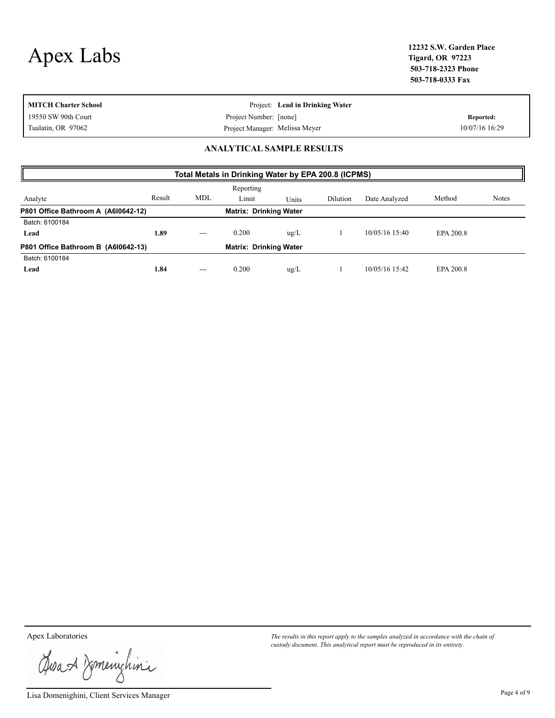| 19550 SW 90th Court<br>Project Number: [none]<br>Reported: | <b>MITCH Charter School</b> | Project: Lead in Drinking Water |                |
|------------------------------------------------------------|-----------------------------|---------------------------------|----------------|
|                                                            |                             |                                 |                |
| Project Manager: Melissa Meyer                             | Tualatin, OR 97062          |                                 | 10/07/16 16:29 |

#### **ANALYTICAL SAMPLE RESULTS**

| Total Metals in Drinking Water by EPA 200.8 (ICPMS)                  |        |            |           |               |          |                |           |              |  |
|----------------------------------------------------------------------|--------|------------|-----------|---------------|----------|----------------|-----------|--------------|--|
|                                                                      |        |            | Reporting |               |          |                |           |              |  |
| Analyte                                                              | Result | <b>MDL</b> | Limit     | Units         | Dilution | Date Analyzed  | Method    | <b>Notes</b> |  |
| P801 Office Bathroom A (A610642-12)<br><b>Matrix: Drinking Water</b> |        |            |           |               |          |                |           |              |  |
| Batch: 6100184                                                       |        |            |           |               |          |                |           |              |  |
| Lead                                                                 | 1.89   | $- - -$    | 0.200     | $\text{ug/L}$ |          | 10/05/16 15:40 | EPA 200.8 |              |  |
| P801 Office Bathroom B (A610642-13)<br><b>Matrix: Drinking Water</b> |        |            |           |               |          |                |           |              |  |
| Batch: 6100184                                                       |        |            |           |               |          |                |           |              |  |
| Lead                                                                 | 1.84   | $- - -$    | 0.200     | $\text{ug/L}$ |          | 10/05/16 15:42 | EPA 200.8 |              |  |

Josan Zmenighini

Lisa Domenighini, Client Services Manager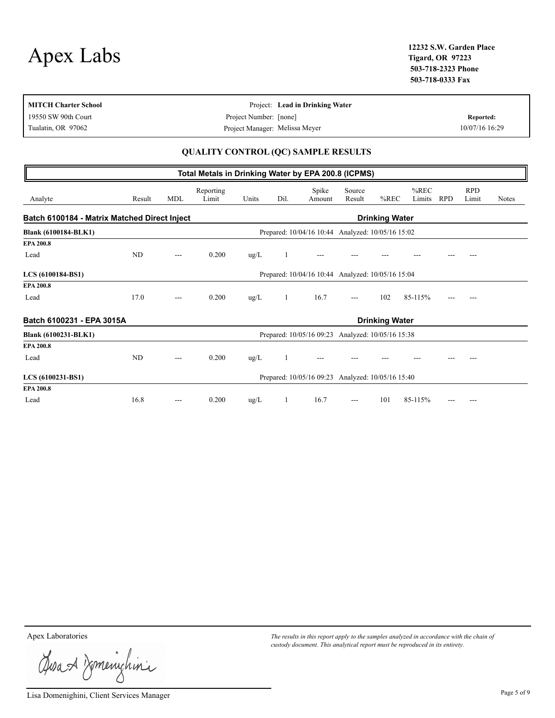|           | 12232 S.W. Garden Place |
|-----------|-------------------------|
| Apex Labs | <b>Tigard, OR 97223</b> |
|           | E03 E10 3333 DL         |

**Tigard, OR 97223 503-718-2323 Phone 503-718-0333 Fax**

| Project: Lead in Drinking Water |                                                          |
|---------------------------------|----------------------------------------------------------|
|                                 | Reported:                                                |
|                                 | 10/07/16 16:29                                           |
|                                 | Project Number: [none]<br>Project Manager: Melissa Meyer |

#### **QUALITY CONTROL (QC) SAMPLE RESULTS**

|                                                                       |        |            | Total Metals in Drinking Water by EPA 200.8 (ICPMS) |               |      |                                                   |                          |                       |                   |            |                     |              |
|-----------------------------------------------------------------------|--------|------------|-----------------------------------------------------|---------------|------|---------------------------------------------------|--------------------------|-----------------------|-------------------|------------|---------------------|--------------|
| Analyte                                                               | Result | <b>MDL</b> | Reporting<br>Limit                                  | Units         | Dil. | Spike<br>Amount                                   | Source<br>Result         | $%$ REC               | $%$ REC<br>Limits | <b>RPD</b> | <b>RPD</b><br>Limit | <b>Notes</b> |
| Batch 6100184 - Matrix Matched Direct Inject<br><b>Drinking Water</b> |        |            |                                                     |               |      |                                                   |                          |                       |                   |            |                     |              |
| <b>Blank (6100184-BLK1)</b>                                           |        |            |                                                     |               |      | Prepared: 10/04/16 10:44 Analyzed: 10/05/16 15:02 |                          |                       |                   |            |                     |              |
| <b>EPA 200.8</b>                                                      |        |            |                                                     |               |      |                                                   |                          |                       |                   |            |                     |              |
| Lead                                                                  | ND     | ---        | 0.200                                               | $\text{ug/L}$ |      |                                                   |                          |                       |                   |            |                     |              |
| LCS (6100184-BS1)                                                     |        |            |                                                     |               |      | Prepared: 10/04/16 10:44 Analyzed: 10/05/16 15:04 |                          |                       |                   |            |                     |              |
| <b>EPA 200.8</b>                                                      |        |            |                                                     |               |      |                                                   |                          |                       |                   |            |                     |              |
| Lead                                                                  | 17.0   | $---$      | 0.200                                               | $\text{ug/L}$ | 1    | 16.7                                              | $---$                    | 102                   | 85-115%           |            |                     |              |
| Batch 6100231 - EPA 3015A                                             |        |            |                                                     |               |      |                                                   |                          | <b>Drinking Water</b> |                   |            |                     |              |
| <b>Blank (6100231-BLK1)</b>                                           |        |            |                                                     |               |      | Prepared: 10/05/16 09:23                          | Analyzed: 10/05/16 15:38 |                       |                   |            |                     |              |
| EPA 200.8                                                             |        |            |                                                     |               |      |                                                   |                          |                       |                   |            |                     |              |
| Lead                                                                  | ND     | ---        | 0.200                                               | $\text{ug/L}$ |      | ---                                               |                          |                       |                   |            |                     |              |
| LCS (6100231-BS1)                                                     |        |            |                                                     |               |      | Prepared: 10/05/16 09:23 Analyzed: 10/05/16 15:40 |                          |                       |                   |            |                     |              |
| EPA 200.8                                                             |        |            |                                                     |               |      |                                                   |                          |                       |                   |            |                     |              |
| Lead                                                                  | 16.8   | $---$      | 0.200                                               | $\text{ug/L}$ | 1    | 16.7                                              | ---                      | 101                   | 85-115%           |            |                     |              |

Josan Zmenighini

Lisa Domenighini, Client Services Manager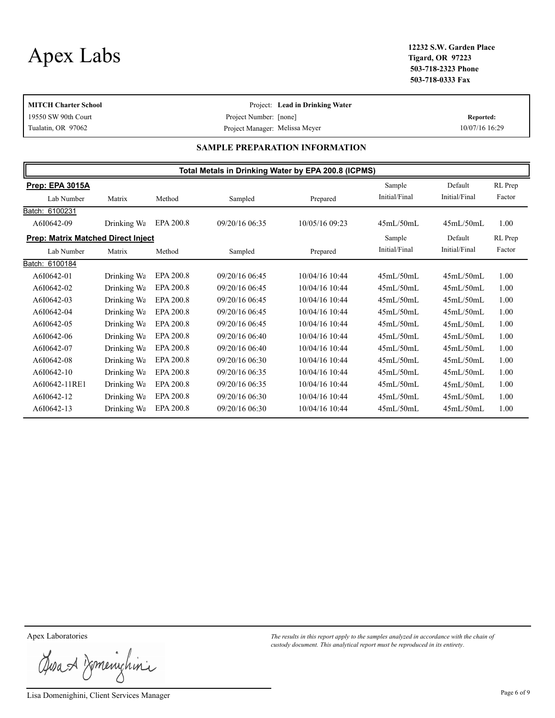**Tigard, OR 97223 503-718-2323 Phone 503-718-0333 Fax**

| <b>MITCH Charter School</b> |                                | Project: Lead in Drinking Water |                |
|-----------------------------|--------------------------------|---------------------------------|----------------|
| 19550 SW 90th Court         | Project Number: [none]         |                                 | Reported:      |
| Tualatin, OR 97062          | Project Manager: Melissa Meyer |                                 | 10/07/16 16:29 |

#### **SAMPLE PREPARATION INFORMATION**

| Total Metals in Drinking Water by EPA 200.8 (ICPMS) |             |           |                |                |               |               |         |  |
|-----------------------------------------------------|-------------|-----------|----------------|----------------|---------------|---------------|---------|--|
| Prep: EPA 3015A                                     |             |           |                |                | Sample        | Default       | RL Prep |  |
| Lab Number                                          | Matrix      | Method    | Sampled        | Prepared       | Initial/Final | Initial/Final | Factor  |  |
| Batch: 6100231                                      |             |           |                |                |               |               |         |  |
| A6I0642-09                                          | Drinking Wa | EPA 200.8 | 09/20/16 06:35 | 10/05/16 09:23 | 45mL/50mL     | 45mL/50mL     | 1.00    |  |
| <b>Prep: Matrix Matched Direct Inject</b>           |             |           |                |                | Sample        | Default       | RL Prep |  |
| Lab Number                                          | Matrix      | Method    | Sampled        | Prepared       | Initial/Final | Initial/Final | Factor  |  |
| Batch: 6100184                                      |             |           |                |                |               |               |         |  |
| A6I0642-01                                          | Drinking Wa | EPA 200.8 | 09/20/16 06:45 | 10/04/16 10:44 | 45mL/50mL     | 45mL/50mL     | 1.00    |  |
| A6I0642-02                                          | Drinking Wa | EPA 200.8 | 09/20/16 06:45 | 10/04/16 10:44 | 45mL/50mL     | 45mL/50mL     | 1.00    |  |
| A6I0642-03                                          | Drinking Wa | EPA 200.8 | 09/20/16 06:45 | 10/04/16 10:44 | 45mL/50mL     | 45mL/50mL     | 1.00    |  |
| A6I0642-04                                          | Drinking Wa | EPA 200.8 | 09/20/16 06:45 | 10/04/16 10:44 | 45mL/50mL     | 45mL/50mL     | 1.00    |  |
| A6I0642-05                                          | Drinking Wa | EPA 200.8 | 09/20/16 06:45 | 10/04/16 10:44 | 45mL/50mL     | 45mL/50mL     | 1.00    |  |
| A6I0642-06                                          | Drinking Wa | EPA 200.8 | 09/20/16 06:40 | 10/04/16 10:44 | 45mL/50mL     | 45mL/50mL     | 1.00    |  |
| A6I0642-07                                          | Drinking Wa | EPA 200.8 | 09/20/16 06:40 | 10/04/16 10:44 | 45mL/50mL     | 45mL/50mL     | 1.00    |  |
| A6I0642-08                                          | Drinking Wa | EPA 200.8 | 09/20/16 06:30 | 10/04/16 10:44 | 45mL/50mL     | 45mL/50mL     | 1.00    |  |
| A6I0642-10                                          | Drinking Wa | EPA 200.8 | 09/20/16 06:35 | 10/04/16 10:44 | 45mL/50mL     | 45mL/50mL     | 1.00    |  |
| A6I0642-11RE1                                       | Drinking Wa | EPA 200.8 | 09/20/16 06:35 | 10/04/16 10:44 | 45mL/50mL     | 45mL/50mL     | 1.00    |  |
| A6I0642-12                                          | Drinking Wa | EPA 200.8 | 09/20/16 06:30 | 10/04/16 10:44 | 45mL/50mL     | 45mL/50mL     | 1.00    |  |
| A6I0642-13                                          | Drinking Wa | EPA 200.8 | 09/20/16 06:30 | 10/04/16 10:44 | 45mL/50mL     | 45mL/50mL     | 1.00    |  |

Josan Zmenighini

Lisa Domenighini, Client Services Manager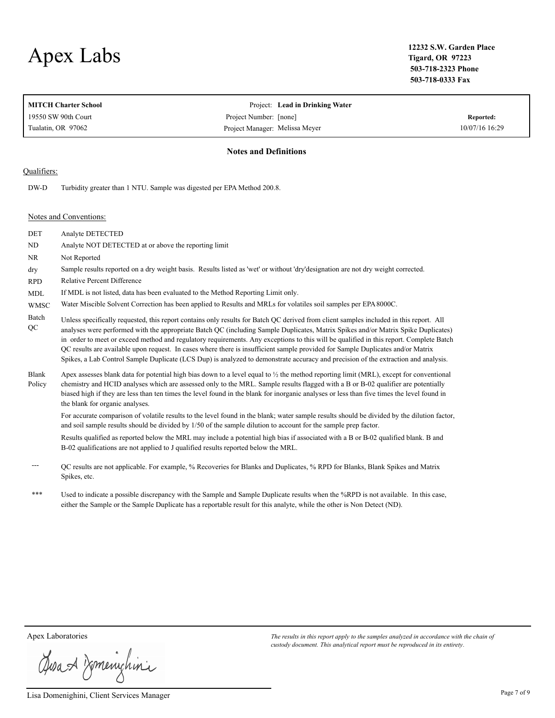# Apex Labs **12232 S.W. Garden Place**

**Tigard, OR 97223 503-718-2323 Phone 503-718-0333 Fax**

|                        | <b>MITCH Charter School</b>                                                                                                      | Project: Lead in Drinking Water                                                                                                                                                                                                                                                                                                                                                                                                                                                                                                                          |                  |  |  |  |
|------------------------|----------------------------------------------------------------------------------------------------------------------------------|----------------------------------------------------------------------------------------------------------------------------------------------------------------------------------------------------------------------------------------------------------------------------------------------------------------------------------------------------------------------------------------------------------------------------------------------------------------------------------------------------------------------------------------------------------|------------------|--|--|--|
|                        | 19550 SW 90th Court                                                                                                              | Project Number: [none]                                                                                                                                                                                                                                                                                                                                                                                                                                                                                                                                   | <b>Reported:</b> |  |  |  |
|                        | Tualatin, OR 97062                                                                                                               | Project Manager: Melissa Meyer                                                                                                                                                                                                                                                                                                                                                                                                                                                                                                                           | 10/07/16 16:29   |  |  |  |
|                        |                                                                                                                                  | <b>Notes and Definitions</b>                                                                                                                                                                                                                                                                                                                                                                                                                                                                                                                             |                  |  |  |  |
| Qualifiers:            |                                                                                                                                  |                                                                                                                                                                                                                                                                                                                                                                                                                                                                                                                                                          |                  |  |  |  |
| DW-D                   | Turbidity greater than 1 NTU. Sample was digested per EPA Method 200.8.                                                          |                                                                                                                                                                                                                                                                                                                                                                                                                                                                                                                                                          |                  |  |  |  |
|                        | Notes and Conventions:                                                                                                           |                                                                                                                                                                                                                                                                                                                                                                                                                                                                                                                                                          |                  |  |  |  |
| <b>DET</b>             | Analyte DETECTED                                                                                                                 |                                                                                                                                                                                                                                                                                                                                                                                                                                                                                                                                                          |                  |  |  |  |
| $\rm ND$               | Analyte NOT DETECTED at or above the reporting limit                                                                             |                                                                                                                                                                                                                                                                                                                                                                                                                                                                                                                                                          |                  |  |  |  |
| NR                     | Not Reported                                                                                                                     |                                                                                                                                                                                                                                                                                                                                                                                                                                                                                                                                                          |                  |  |  |  |
| dry                    | Sample results reported on a dry weight basis. Results listed as 'wet' or without 'dry'designation are not dry weight corrected. |                                                                                                                                                                                                                                                                                                                                                                                                                                                                                                                                                          |                  |  |  |  |
| <b>RPD</b>             | <b>Relative Percent Difference</b>                                                                                               |                                                                                                                                                                                                                                                                                                                                                                                                                                                                                                                                                          |                  |  |  |  |
| <b>MDL</b>             |                                                                                                                                  | If MDL is not listed, data has been evaluated to the Method Reporting Limit only.                                                                                                                                                                                                                                                                                                                                                                                                                                                                        |                  |  |  |  |
| <b>WMSC</b>            |                                                                                                                                  | Water Miscible Solvent Correction has been applied to Results and MRLs for volatiles soil samples per EPA 8000C.                                                                                                                                                                                                                                                                                                                                                                                                                                         |                  |  |  |  |
| Batch<br>QC            |                                                                                                                                  | Unless specifically requested, this report contains only results for Batch QC derived from client samples included in this report. All<br>analyses were performed with the appropriate Batch QC (including Sample Duplicates, Matrix Spikes and/or Matrix Spike Duplicates)<br>in order to meet or exceed method and regulatory requirements. Any exceptions to this will be qualified in this report. Complete Batch<br>QC results are available upon request. In cases where there is insufficient sample provided for Sample Duplicates and/or Matrix |                  |  |  |  |
|                        |                                                                                                                                  | Spikes, a Lab Control Sample Duplicate (LCS Dup) is analyzed to demonstrate accuracy and precision of the extraction and analysis.                                                                                                                                                                                                                                                                                                                                                                                                                       |                  |  |  |  |
| <b>Blank</b><br>Policy | the blank for organic analyses.                                                                                                  | Apex assesses blank data for potential high bias down to a level equal to $\frac{1}{2}$ the method reporting limit (MRL), except for conventional<br>chemistry and HCID analyses which are assessed only to the MRL. Sample results flagged with a B or B-02 qualifier are potentially<br>biased high if they are less than ten times the level found in the blank for inorganic analyses or less than five times the level found in                                                                                                                     |                  |  |  |  |
|                        |                                                                                                                                  | For accurate comparison of volatile results to the level found in the blank; water sample results should be divided by the dilution factor,<br>and soil sample results should be divided by 1/50 of the sample dilution to account for the sample prep factor.                                                                                                                                                                                                                                                                                           |                  |  |  |  |
|                        |                                                                                                                                  | Results qualified as reported below the MRL may include a potential high bias if associated with a B or B-02 qualified blank. B and<br>B-02 qualifications are not applied to J qualified results reported below the MRL.                                                                                                                                                                                                                                                                                                                                |                  |  |  |  |
|                        | Spikes, etc.                                                                                                                     | QC results are not applicable. For example, % Recoveries for Blanks and Duplicates, % RPD for Blanks, Blank Spikes and Matrix                                                                                                                                                                                                                                                                                                                                                                                                                            |                  |  |  |  |
| ***                    |                                                                                                                                  | Used to indicate a possible discrepancy with the Sample and Sample Duplicate results when the $\%$ RPD is not available. In this case                                                                                                                                                                                                                                                                                                                                                                                                                    |                  |  |  |  |

 \*\*\* Used to indicate a possible discrepancy with the Sample and Sample Duplicate results when the %RPD is not available. In this case, either the Sample or the Sample Duplicate has a reportable result for this analyte, while the other is Non Detect (ND).

Josa & Domenichina

Lisa Domenighini, Client Services Manager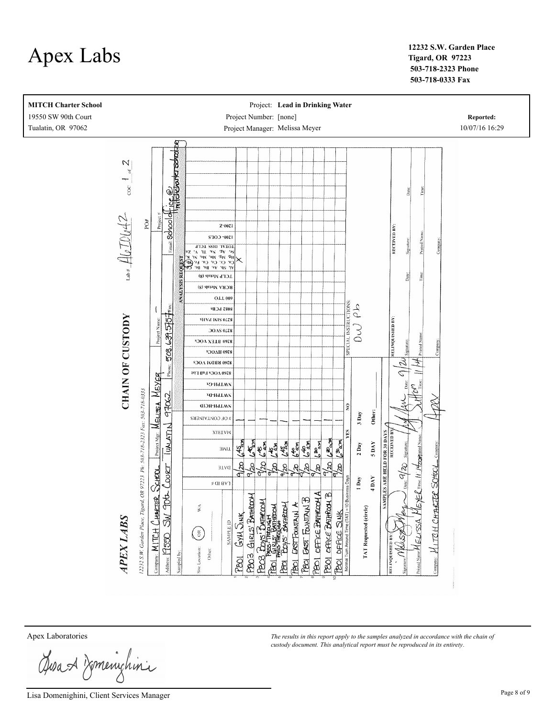

**Tigard, OR 97223 503-718-2323 Phone 503-718-0333 Fax**



Josan Komenighini

Lisa Domenighini, Client Services Manager